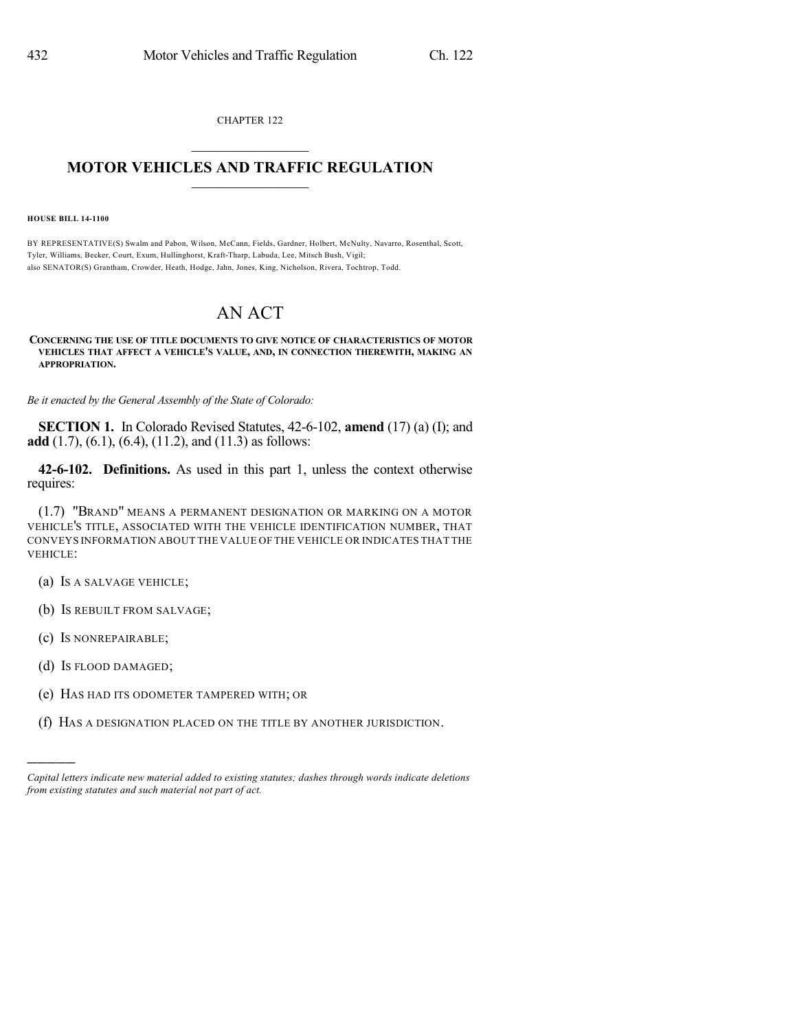CHAPTER 122

## $\overline{\phantom{a}}$  . The set of the set of the set of the set of the set of the set of the set of the set of the set of the set of the set of the set of the set of the set of the set of the set of the set of the set of the set o **MOTOR VEHICLES AND TRAFFIC REGULATION**  $\frac{1}{2}$  ,  $\frac{1}{2}$  ,  $\frac{1}{2}$  ,  $\frac{1}{2}$  ,  $\frac{1}{2}$  ,  $\frac{1}{2}$  ,  $\frac{1}{2}$

**HOUSE BILL 14-1100**

BY REPRESENTATIVE(S) Swalm and Pabon, Wilson, McCann, Fields, Gardner, Holbert, McNulty, Navarro, Rosenthal, Scott, Tyler, Williams, Becker, Court, Exum, Hullinghorst, Kraft-Tharp, Labuda, Lee, Mitsch Bush, Vigil; also SENATOR(S) Grantham, Crowder, Heath, Hodge, Jahn, Jones, King, Nicholson, Rivera, Tochtrop, Todd.

## AN ACT

## **CONCERNING THE USE OF TITLE DOCUMENTS TO GIVE NOTICE OF CHARACTERISTICS OF MOTOR VEHICLES THAT AFFECT A VEHICLE'S VALUE, AND, IN CONNECTION THEREWITH, MAKING AN APPROPRIATION.**

*Be it enacted by the General Assembly of the State of Colorado:*

**SECTION 1.** In Colorado Revised Statutes, 42-6-102, **amend** (17) (a) (I); and **add** (1.7), (6.1), (6.4), (11.2), and (11.3) as follows:

**42-6-102. Definitions.** As used in this part 1, unless the context otherwise requires:

(1.7) "BRAND" MEANS A PERMANENT DESIGNATION OR MARKING ON A MOTOR VEHICLE'S TITLE, ASSOCIATED WITH THE VEHICLE IDENTIFICATION NUMBER, THAT CONVEYS INFORMATION ABOUT THE VALUE OF THE VEHICLE OR INDICATES THAT THE VEHICLE:

- (a) IS A SALVAGE VEHICLE;
- (b) IS REBUILT FROM SALVAGE;
- (c) IS NONREPAIRABLE;
- (d) IS FLOOD DAMAGED;

)))))

- (e) HAS HAD ITS ODOMETER TAMPERED WITH; OR
- (f) HAS A DESIGNATION PLACED ON THE TITLE BY ANOTHER JURISDICTION.

*Capital letters indicate new material added to existing statutes; dashes through words indicate deletions from existing statutes and such material not part of act.*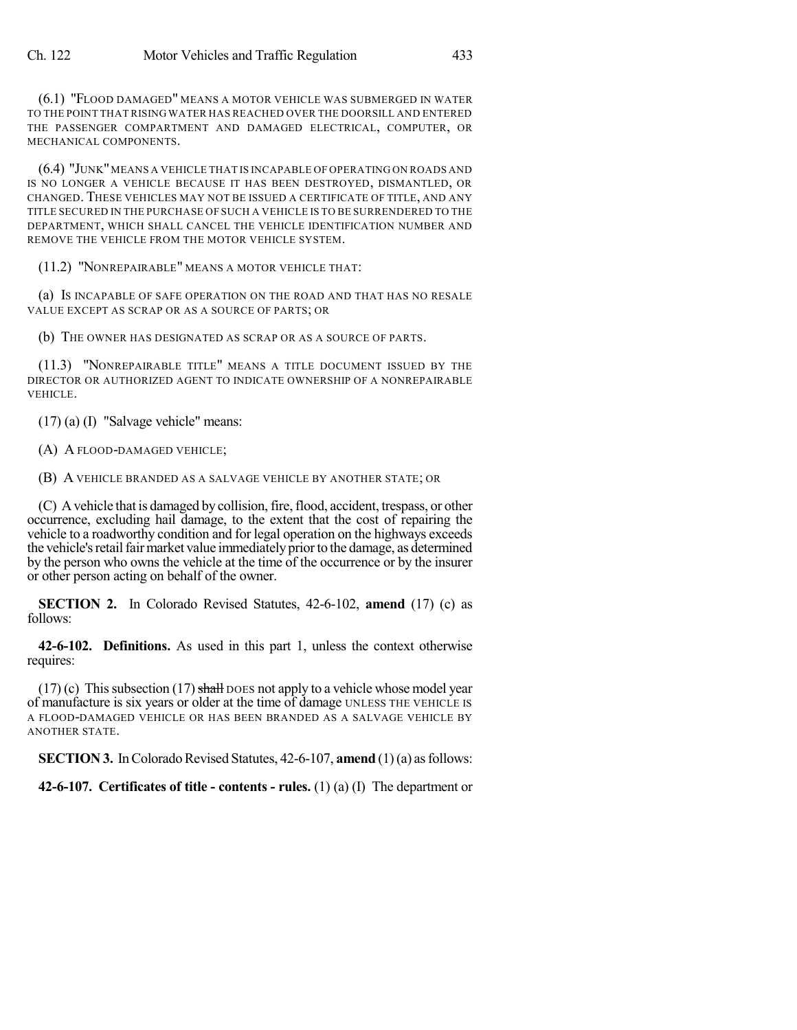(6.1) "FLOOD DAMAGED" MEANS A MOTOR VEHICLE WAS SUBMERGED IN WATER TO THE POINT THAT RISING WATER HAS REACHED OVER THE DOORSILL AND ENTERED THE PASSENGER COMPARTMENT AND DAMAGED ELECTRICAL, COMPUTER, OR MECHANICAL COMPONENTS.

(6.4) "JUNK"MEANS A VEHICLE THAT IS INCAPABLE OF OPERATING ON ROADS AND IS NO LONGER A VEHICLE BECAUSE IT HAS BEEN DESTROYED, DISMANTLED, OR CHANGED. THESE VEHICLES MAY NOT BE ISSUED A CERTIFICATE OF TITLE, AND ANY TITLE SECURED IN THE PURCHASE OF SUCH A VEHICLE IS TO BE SURRENDERED TO THE DEPARTMENT, WHICH SHALL CANCEL THE VEHICLE IDENTIFICATION NUMBER AND REMOVE THE VEHICLE FROM THE MOTOR VEHICLE SYSTEM.

(11.2) "NONREPAIRABLE" MEANS A MOTOR VEHICLE THAT:

(a) IS INCAPABLE OF SAFE OPERATION ON THE ROAD AND THAT HAS NO RESALE VALUE EXCEPT AS SCRAP OR AS A SOURCE OF PARTS; OR

(b) THE OWNER HAS DESIGNATED AS SCRAP OR AS A SOURCE OF PARTS.

(11.3) "NONREPAIRABLE TITLE" MEANS A TITLE DOCUMENT ISSUED BY THE DIRECTOR OR AUTHORIZED AGENT TO INDICATE OWNERSHIP OF A NONREPAIRABLE VEHICLE.

(17) (a) (I) "Salvage vehicle" means:

(A) A FLOOD-DAMAGED VEHICLE;

(B) A VEHICLE BRANDED AS A SALVAGE VEHICLE BY ANOTHER STATE; OR

(C) A vehicle that is damaged by collision, fire, flood, accident, trespass, or other occurrence, excluding hail damage, to the extent that the cost of repairing the vehicle to a roadworthy condition and for legal operation on the highways exceeds the vehicle's retail fair market value immediately prior to the damage, as determined by the person who owns the vehicle at the time of the occurrence or by the insurer or other person acting on behalf of the owner.

**SECTION 2.** In Colorado Revised Statutes, 42-6-102, **amend** (17) (c) as follows:

**42-6-102. Definitions.** As used in this part 1, unless the context otherwise requires:

 $(17)$  (c) This subsection  $(17)$  shall DOES not apply to a vehicle whose model year of manufacture is six years or older at the time of damage UNLESS THE VEHICLE IS A FLOOD-DAMAGED VEHICLE OR HAS BEEN BRANDED AS A SALVAGE VEHICLE BY ANOTHER STATE.

**SECTION 3.** In Colorado Revised Statutes, 42-6-107, **amend** (1)(a) as follows:

**42-6-107. Certificates of title - contents - rules.** (1) (a) (I) The department or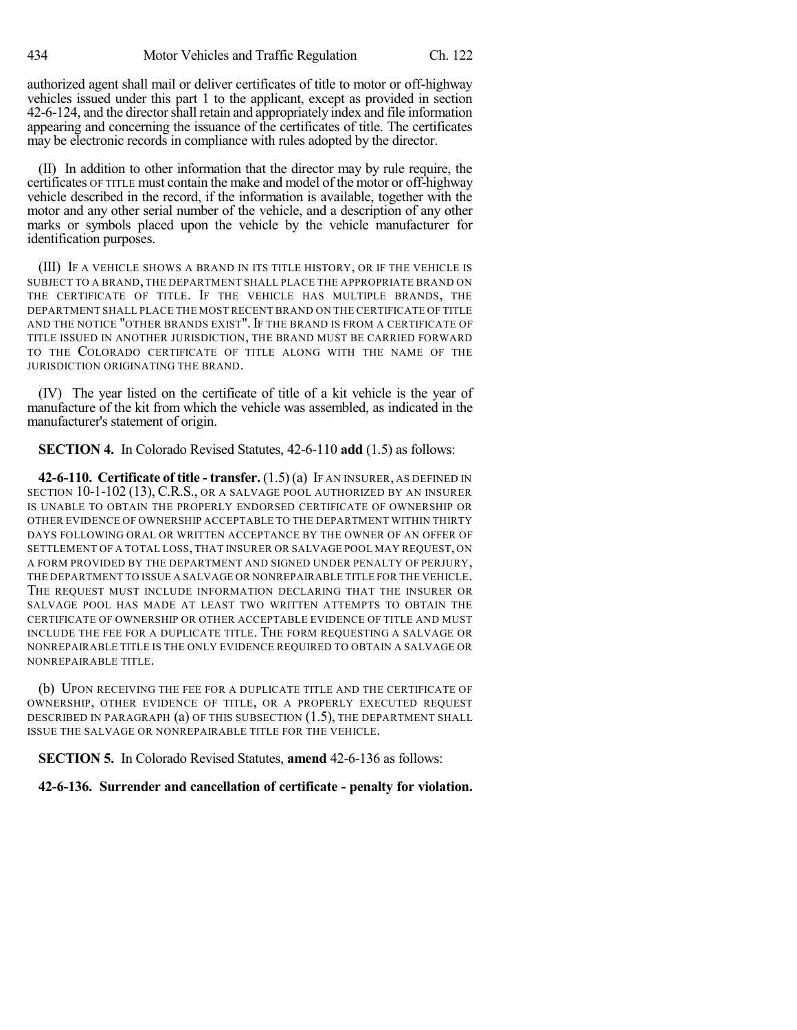authorized agent shall mail or deliver certificates of title to motor or off-highway vehicles issued under this part 1 to the applicant, except as provided in section 42-6-124, and the directorshall retain and appropriately index and file information appearing and concerning the issuance of the certificates of title. The certificates may be electronic records in compliance with rules adopted by the director.

(II) In addition to other information that the director may by rule require, the certificates OF TITLE must contain the make and model of the motor or off-highway vehicle described in the record, if the information is available, together with the motor and any other serial number of the vehicle, and a description of any other marks or symbols placed upon the vehicle by the vehicle manufacturer for identification purposes.

(III) IF A VEHICLE SHOWS A BRAND IN ITS TITLE HISTORY, OR IF THE VEHICLE IS SUBJECT TO A BRAND, THE DEPARTMENT SHALL PLACE THE APPROPRIATE BRAND ON THE CERTIFICATE OF TITLE. IF THE VEHICLE HAS MULTIPLE BRANDS, THE DEPARTMENT SHALL PLACE THE MOST RECENT BRAND ON THE CERTIFICATE OF TITLE AND THE NOTICE "OTHER BRANDS EXIST". IF THE BRAND IS FROM A CERTIFICATE OF TITLE ISSUED IN ANOTHER JURISDICTION, THE BRAND MUST BE CARRIED FORWARD TO THE COLORADO CERTIFICATE OF TITLE ALONG WITH THE NAME OF THE JURISDICTION ORIGINATING THE BRAND.

(IV) The year listed on the certificate of title of a kit vehicle is the year of manufacture of the kit from which the vehicle was assembled, as indicated in the manufacturer's statement of origin.

**SECTION 4.** In Colorado Revised Statutes, 42-6-110 **add** (1.5) as follows:

**42-6-110. Certificate of title - transfer.** (1.5) (a) IF AN INSURER, AS DEFINED IN SECTION 10-1-102 (13), C.R.S., OR A SALVAGE POOL AUTHORIZED BY AN INSURER IS UNABLE TO OBTAIN THE PROPERLY ENDORSED CERTIFICATE OF OWNERSHIP OR OTHER EVIDENCE OF OWNERSHIP ACCEPTABLE TO THE DEPARTMENT WITHIN THIRTY DAYS FOLLOWING ORAL OR WRITTEN ACCEPTANCE BY THE OWNER OF AN OFFER OF SETTLEMENT OF A TOTAL LOSS, THAT INSURER OR SALVAGE POOL MAY REQUEST, ON A FORM PROVIDED BY THE DEPARTMENT AND SIGNED UNDER PENALTY OF PERJURY, THE DEPARTMENT TO ISSUE A SALVAGE OR NONREPAIRABLE TITLE FOR THE VEHICLE. THE REQUEST MUST INCLUDE INFORMATION DECLARING THAT THE INSURER OR SALVAGE POOL HAS MADE AT LEAST TWO WRITTEN ATTEMPTS TO OBTAIN THE CERTIFICATE OF OWNERSHIP OR OTHER ACCEPTABLE EVIDENCE OF TITLE AND MUST INCLUDE THE FEE FOR A DUPLICATE TITLE. THE FORM REQUESTING A SALVAGE OR NONREPAIRABLE TITLE IS THE ONLY EVIDENCE REQUIRED TO OBTAIN A SALVAGE OR NONREPAIRABLE TITLE.

(b) UPON RECEIVING THE FEE FOR A DUPLICATE TITLE AND THE CERTIFICATE OF OWNERSHIP, OTHER EVIDENCE OF TITLE, OR A PROPERLY EXECUTED REQUEST DESCRIBED IN PARAGRAPH (a) OF THIS SUBSECTION (1.5), THE DEPARTMENT SHALL ISSUE THE SALVAGE OR NONREPAIRABLE TITLE FOR THE VEHICLE.

**SECTION 5.** In Colorado Revised Statutes, **amend** 42-6-136 as follows:

**42-6-136. Surrender and cancellation of certificate - penalty for violation.**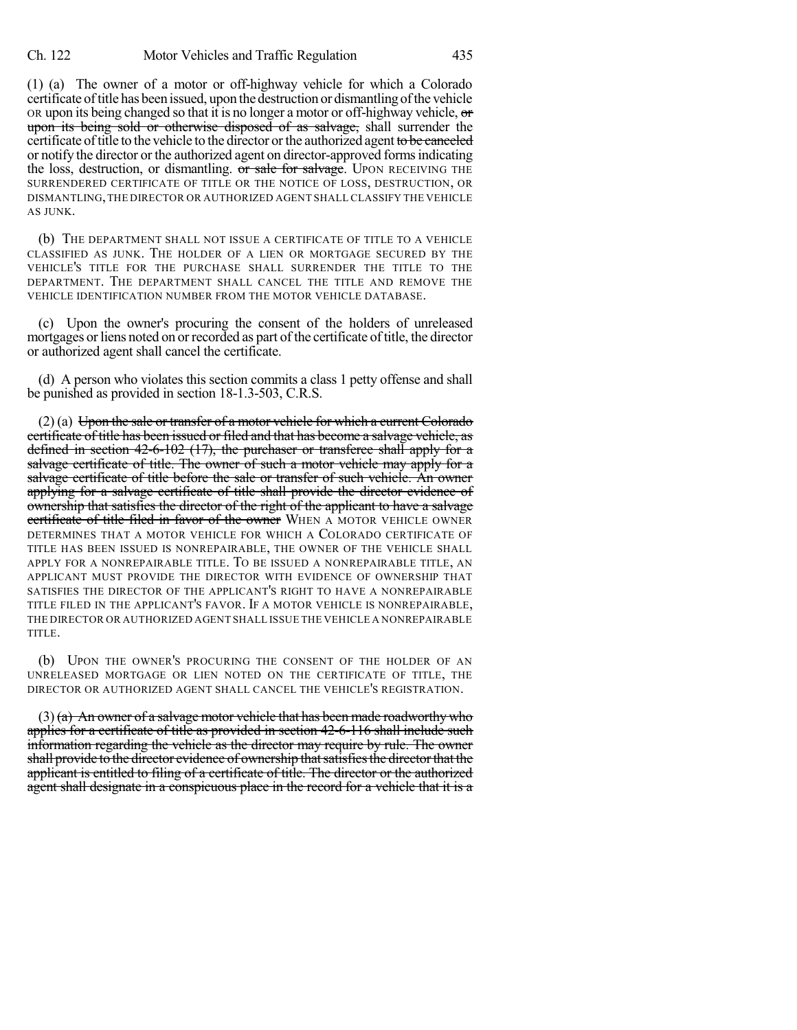(1) (a) The owner of a motor or off-highway vehicle for which a Colorado certificate of title has been issued, upon the destruction or dismantling of the vehicle OR upon its being changed so that it is no longer a motor or off-highway vehicle,  $\sigma$ upon its being sold or otherwise disposed of as salvage, shall surrender the certificate of title to the vehicle to the director or the authorized agent to be canceled or notify the director or the authorized agent on director-approved formsindicating the loss, destruction, or dismantling. or sale for salvage. UPON RECEIVING THE SURRENDERED CERTIFICATE OF TITLE OR THE NOTICE OF LOSS, DESTRUCTION, OR DISMANTLING,THE DIRECTOR OR AUTHORIZED AGENT SHALL CLASSIFY THE VEHICLE AS JUNK.

(b) THE DEPARTMENT SHALL NOT ISSUE A CERTIFICATE OF TITLE TO A VEHICLE CLASSIFIED AS JUNK. THE HOLDER OF A LIEN OR MORTGAGE SECURED BY THE VEHICLE'S TITLE FOR THE PURCHASE SHALL SURRENDER THE TITLE TO THE DEPARTMENT. THE DEPARTMENT SHALL CANCEL THE TITLE AND REMOVE THE VEHICLE IDENTIFICATION NUMBER FROM THE MOTOR VEHICLE DATABASE.

(c) Upon the owner's procuring the consent of the holders of unreleased mortgages or liens noted on or recorded as part of the certificate of title, the director or authorized agent shall cancel the certificate.

(d) A person who violates this section commits a class 1 petty offense and shall be punished as provided in section 18-1.3-503, C.R.S.

 $(2)$  (a) Upon the sale or transfer of a motor vehicle for which a current Colorado certificate of title has been issued or filed and that has become a salvage vehicle, as defined in section 42-6-102 (17), the purchaser or transferee shall apply for a salvage certificate of title. The owner of such a motor vehicle may apply for a salvage certificate of title before the sale or transfer of such vehicle. An owner applying for a salvage certificate of title shall provide the director evidence of ownership that satisfies the director of the right of the applicant to have a salvage certificate of title filed in favor of the owner WHEN A MOTOR VEHICLE OWNER DETERMINES THAT A MOTOR VEHICLE FOR WHICH A COLORADO CERTIFICATE OF TITLE HAS BEEN ISSUED IS NONREPAIRABLE, THE OWNER OF THE VEHICLE SHALL APPLY FOR A NONREPAIRABLE TITLE. TO BE ISSUED A NONREPAIRABLE TITLE, AN APPLICANT MUST PROVIDE THE DIRECTOR WITH EVIDENCE OF OWNERSHIP THAT SATISFIES THE DIRECTOR OF THE APPLICANT'S RIGHT TO HAVE A NONREPAIRABLE TITLE FILED IN THE APPLICANT'S FAVOR. IF A MOTOR VEHICLE IS NONREPAIRABLE, THE DIRECTOR OR AUTHORIZED AGENT SHALL ISSUE THE VEHICLE A NONREPAIRABLE TITLE.

(b) UPON THE OWNER'S PROCURING THE CONSENT OF THE HOLDER OF AN UNRELEASED MORTGAGE OR LIEN NOTED ON THE CERTIFICATE OF TITLE, THE DIRECTOR OR AUTHORIZED AGENT SHALL CANCEL THE VEHICLE'S REGISTRATION.

 $(3)$  (a) An owner of a salvage motor vehicle that has been made roadworthy who applies for a certificate of title as provided in section 42-6-116 shall include such information regarding the vehicle as the director may require by rule. The owner shall provide to the director evidence of ownership that satisfies the director that the applicant is entitled to filing of a certificate of title. The director or the authorized agent shall designate in a conspicuous place in the record for a vehicle that it is a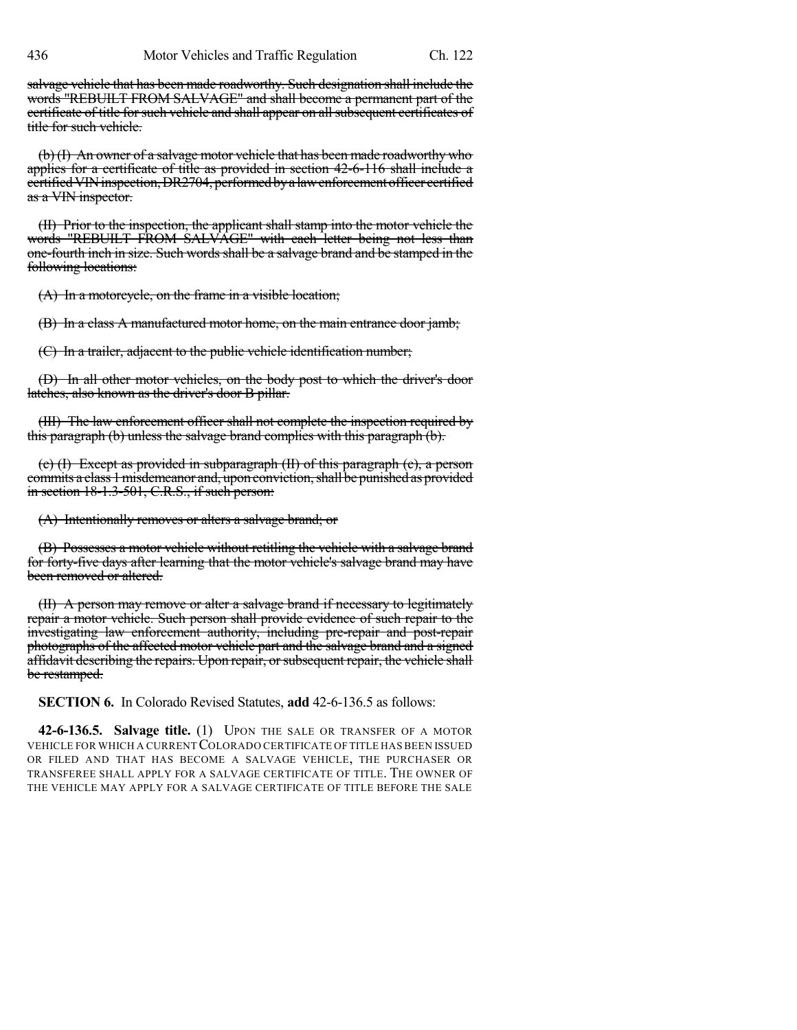salvage vehicle that has been made roadworthy. Such designation shall include the words "REBUILT FROM SALVAGE" and shall become a permanent part of the certificate of title for such vehicle and shall appear on all subsequent certificates of title for such vehicle.

(b) (I) An owner of a salvage motor vehicle that has been made roadworthy who applies for a certificate of title as provided in section 42-6-116 shall include a certifiedVINinspection,DR2704, performedbya lawenforcementofficer certified as a VIN inspector.

(II) Prior to the inspection, the applicant shall stamp into the motor vehicle the words "REBUILT FROM SALVAGE" with each letter being not less than one-fourth inch in size. Such words shall be a salvage brand and be stamped in the following locations:

(A) In a motorcycle, on the frame in a visible location;

(B) In a class A manufactured motor home, on the main entrance door jamb;

(C) In a trailer, adjacent to the public vehicle identification number;

(D) In all other motor vehicles, on the body post to which the driver's door latches, also known as the driver's door B pillar.

(III) The law enforcement officer shall not complete the inspection required by this paragraph (b) unless the salvage brand complies with this paragraph (b).

(c) (I) Except as provided in subparagraph (II) of this paragraph (c), a person commits a class 1 misdemeanor and, upon conviction, shall be punished as provided in section 18-1.3-501, C.R.S., if such person:

(A) Intentionally removes or alters a salvage brand; or

(B) Possesses a motor vehicle without retitling the vehicle with a salvage brand for forty-five days after learning that the motor vehicle's salvage brand may have been removed or altered.

(II) A person may remove or alter a salvage brand if necessary to legitimately repair a motor vehicle. Such person shall provide evidence of such repair to the investigating law enforcement authority, including pre-repair and post-repair photographs of the affected motor vehicle part and the salvage brand and a signed affidavit describing the repairs. Upon repair, or subsequent repair, the vehicle shall be restamped.

**SECTION 6.** In Colorado Revised Statutes, **add** 42-6-136.5 as follows:

**42-6-136.5. Salvage title.** (1) UPON THE SALE OR TRANSFER OF A MOTOR VEHICLE FOR WHICH A CURRENTCOLORADO CERTIFICATE OF TITLE HAS BEEN ISSUED OR FILED AND THAT HAS BECOME A SALVAGE VEHICLE, THE PURCHASER OR TRANSFEREE SHALL APPLY FOR A SALVAGE CERTIFICATE OF TITLE. THE OWNER OF THE VEHICLE MAY APPLY FOR A SALVAGE CERTIFICATE OF TITLE BEFORE THE SALE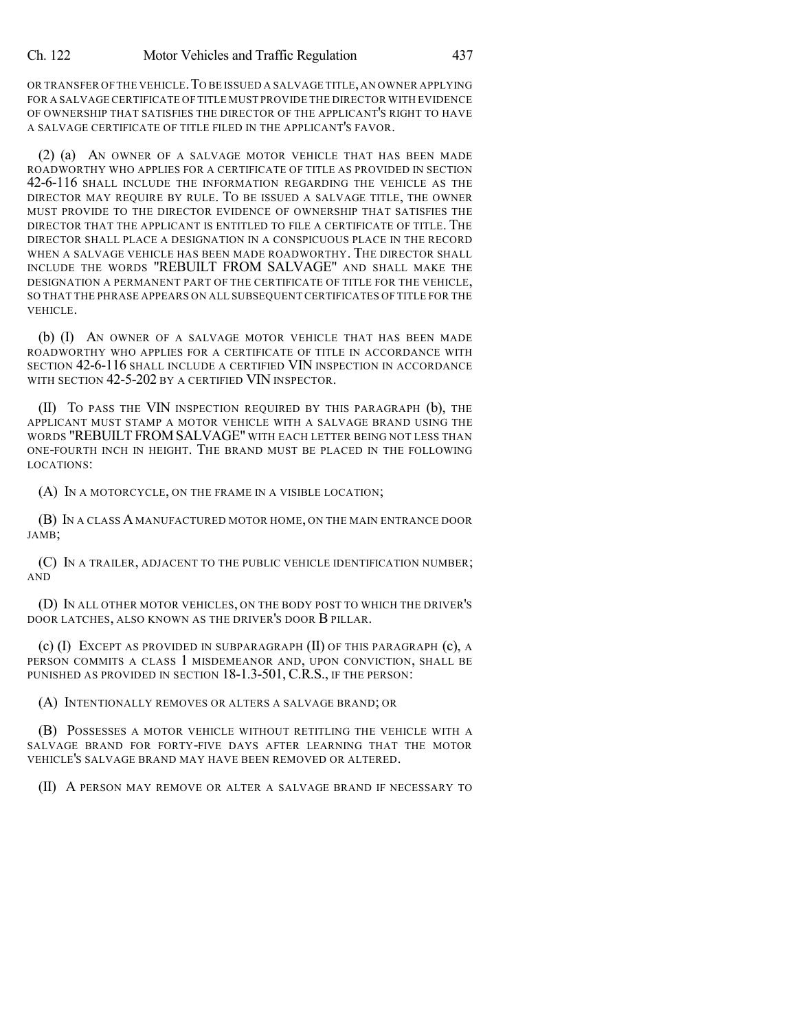OR TRANSFER OF THE VEHICLE.TO BE ISSUED A SALVAGE TITLE,AN OWNER APPLYING FOR A SALVAGE CERTIFICATE OF TITLE MUST PROVIDE THE DIRECTOR WITH EVIDENCE OF OWNERSHIP THAT SATISFIES THE DIRECTOR OF THE APPLICANT'S RIGHT TO HAVE A SALVAGE CERTIFICATE OF TITLE FILED IN THE APPLICANT'S FAVOR.

(2) (a) AN OWNER OF A SALVAGE MOTOR VEHICLE THAT HAS BEEN MADE ROADWORTHY WHO APPLIES FOR A CERTIFICATE OF TITLE AS PROVIDED IN SECTION 42-6-116 SHALL INCLUDE THE INFORMATION REGARDING THE VEHICLE AS THE DIRECTOR MAY REQUIRE BY RULE. TO BE ISSUED A SALVAGE TITLE, THE OWNER MUST PROVIDE TO THE DIRECTOR EVIDENCE OF OWNERSHIP THAT SATISFIES THE DIRECTOR THAT THE APPLICANT IS ENTITLED TO FILE A CERTIFICATE OF TITLE. THE DIRECTOR SHALL PLACE A DESIGNATION IN A CONSPICUOUS PLACE IN THE RECORD WHEN A SALVAGE VEHICLE HAS BEEN MADE ROADWORTHY. THE DIRECTOR SHALL INCLUDE THE WORDS "REBUILT FROM SALVAGE" AND SHALL MAKE THE DESIGNATION A PERMANENT PART OF THE CERTIFICATE OF TITLE FOR THE VEHICLE, SO THAT THE PHRASE APPEARS ON ALL SUBSEQUENT CERTIFICATES OF TITLE FOR THE VEHICLE.

(b) (I) AN OWNER OF A SALVAGE MOTOR VEHICLE THAT HAS BEEN MADE ROADWORTHY WHO APPLIES FOR A CERTIFICATE OF TITLE IN ACCORDANCE WITH SECTION 42-6-116 SHALL INCLUDE A CERTIFIED VIN INSPECTION IN ACCORDANCE WITH SECTION 42-5-202 BY A CERTIFIED VIN INSPECTOR.

(II) TO PASS THE VIN INSPECTION REQUIRED BY THIS PARAGRAPH (b), THE APPLICANT MUST STAMP A MOTOR VEHICLE WITH A SALVAGE BRAND USING THE WORDS "REBUILT FROMSALVAGE" WITH EACH LETTER BEING NOT LESS THAN ONE-FOURTH INCH IN HEIGHT. THE BRAND MUST BE PLACED IN THE FOLLOWING LOCATIONS:

(A) IN A MOTORCYCLE, ON THE FRAME IN A VISIBLE LOCATION;

(B) IN A CLASS A MANUFACTURED MOTOR HOME, ON THE MAIN ENTRANCE DOOR JAMB;

(C) IN A TRAILER, ADJACENT TO THE PUBLIC VEHICLE IDENTIFICATION NUMBER; AND

(D) IN ALL OTHER MOTOR VEHICLES, ON THE BODY POST TO WHICH THE DRIVER'S DOOR LATCHES, ALSO KNOWN AS THE DRIVER'S DOOR B PILLAR.

(c) (I) EXCEPT AS PROVIDED IN SUBPARAGRAPH (II) OF THIS PARAGRAPH (c), A PERSON COMMITS A CLASS 1 MISDEMEANOR AND, UPON CONVICTION, SHALL BE PUNISHED AS PROVIDED IN SECTION 18-1.3-501, C.R.S., IF THE PERSON:

(A) INTENTIONALLY REMOVES OR ALTERS A SALVAGE BRAND; OR

(B) POSSESSES A MOTOR VEHICLE WITHOUT RETITLING THE VEHICLE WITH A SALVAGE BRAND FOR FORTY-FIVE DAYS AFTER LEARNING THAT THE MOTOR VEHICLE'S SALVAGE BRAND MAY HAVE BEEN REMOVED OR ALTERED.

(II) A PERSON MAY REMOVE OR ALTER A SALVAGE BRAND IF NECESSARY TO